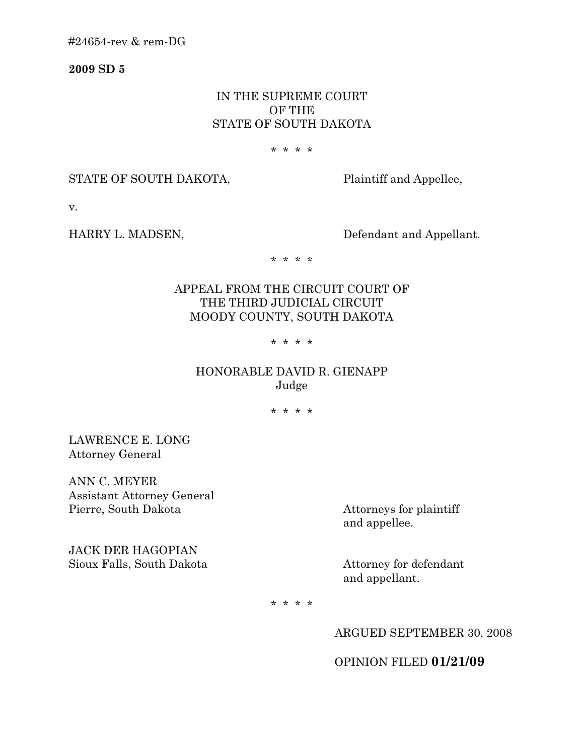#24654-rev & rem-DG

**2009 SD 5**

## IN THE SUPREME COURT OF THE STATE OF SOUTH DAKOTA

#### \* \* \* \*

## STATE OF SOUTH DAKOTA, Plaintiff and Appellee,

v.

HARRY L. MADSEN, Defendant and Appellant.

\* \* \* \*

# APPEAL FROM THE CIRCUIT COURT OF THE THIRD JUDICIAL CIRCUIT MOODY COUNTY, SOUTH DAKOTA

\* \* \* \*

# HONORABLE DAVID R. GIENAPP Judge

\* \* \* \*

LAWRENCE E. LONG Attorney General

ANN C. MEYER Assistant Attorney General Pierre, South Dakota Attorneys for plaintiff

JACK DER HAGOPIAN Sioux Falls, South Dakota Attorney for defendant

and appellee.

and appellant.

\* \* \* \*

ARGUED SEPTEMBER 30, 2008

OPINION FILED **01/21/09**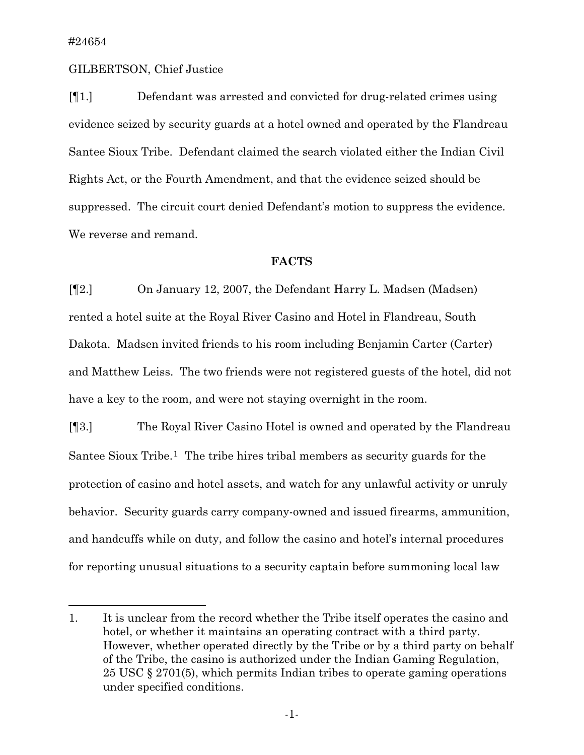$\overline{a}$ 

### GILBERTSON, Chief Justice

[¶1.] Defendant was arrested and convicted for drug-related crimes using evidence seized by security guards at a hotel owned and operated by the Flandreau Santee Sioux Tribe. Defendant claimed the search violated either the Indian Civil Rights Act, or the Fourth Amendment, and that the evidence seized should be suppressed. The circuit court denied Defendant's motion to suppress the evidence. We reverse and remand.

## **FACTS**

[¶2.] On January 12, 2007, the Defendant Harry L. Madsen (Madsen) rented a hotel suite at the Royal River Casino and Hotel in Flandreau, South Dakota. Madsen invited friends to his room including Benjamin Carter (Carter) and Matthew Leiss. The two friends were not registered guests of the hotel, did not have a key to the room, and were not staying overnight in the room.

[¶3.] The Royal River Casino Hotel is owned and operated by the Flandreau Santee Sioux Tribe.<sup>[1](#page-1-0)</sup> The tribe hires tribal members as security guards for the protection of casino and hotel assets, and watch for any unlawful activity or unruly behavior. Security guards carry company-owned and issued firearms, ammunition, and handcuffs while on duty, and follow the casino and hotel's internal procedures for reporting unusual situations to a security captain before summoning local law

<span id="page-1-0"></span><sup>1.</sup> It is unclear from the record whether the Tribe itself operates the casino and hotel, or whether it maintains an operating contract with a third party. However, whether operated directly by the Tribe or by a third party on behalf of the Tribe, the casino is authorized under the Indian Gaming Regulation, 25 USC § 2701(5), which permits Indian tribes to operate gaming operations under specified conditions.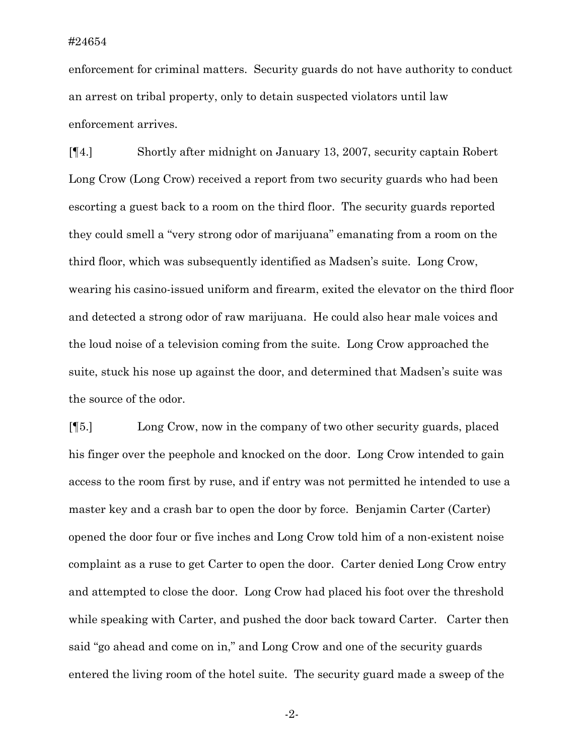enforcement for criminal matters. Security guards do not have authority to conduct an arrest on tribal property, only to detain suspected violators until law enforcement arrives.

[¶4.] Shortly after midnight on January 13, 2007, security captain Robert Long Crow (Long Crow) received a report from two security guards who had been escorting a guest back to a room on the third floor. The security guards reported they could smell a "very strong odor of marijuana" emanating from a room on the third floor, which was subsequently identified as Madsen's suite. Long Crow, wearing his casino-issued uniform and firearm, exited the elevator on the third floor and detected a strong odor of raw marijuana. He could also hear male voices and the loud noise of a television coming from the suite. Long Crow approached the suite, stuck his nose up against the door, and determined that Madsen's suite was the source of the odor.

[¶5.] Long Crow, now in the company of two other security guards, placed his finger over the peephole and knocked on the door. Long Crow intended to gain access to the room first by ruse, and if entry was not permitted he intended to use a master key and a crash bar to open the door by force. Benjamin Carter (Carter) opened the door four or five inches and Long Crow told him of a non-existent noise complaint as a ruse to get Carter to open the door. Carter denied Long Crow entry and attempted to close the door. Long Crow had placed his foot over the threshold while speaking with Carter, and pushed the door back toward Carter. Carter then said "go ahead and come on in," and Long Crow and one of the security guards entered the living room of the hotel suite. The security guard made a sweep of the

-2-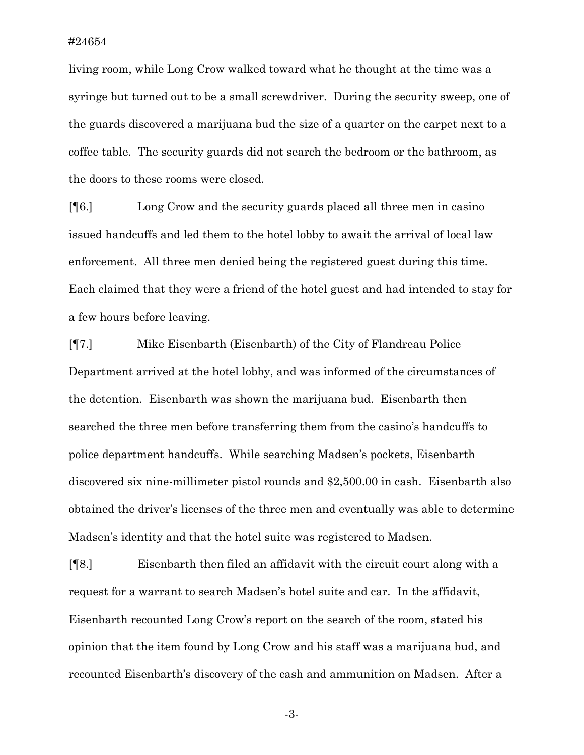living room, while Long Crow walked toward what he thought at the time was a syringe but turned out to be a small screwdriver. During the security sweep, one of the guards discovered a marijuana bud the size of a quarter on the carpet next to a coffee table. The security guards did not search the bedroom or the bathroom, as the doors to these rooms were closed.

[¶6.] Long Crow and the security guards placed all three men in casino issued handcuffs and led them to the hotel lobby to await the arrival of local law enforcement. All three men denied being the registered guest during this time. Each claimed that they were a friend of the hotel guest and had intended to stay for a few hours before leaving.

[¶7.] Mike Eisenbarth (Eisenbarth) of the City of Flandreau Police Department arrived at the hotel lobby, and was informed of the circumstances of the detention. Eisenbarth was shown the marijuana bud. Eisenbarth then searched the three men before transferring them from the casino's handcuffs to police department handcuffs. While searching Madsen's pockets, Eisenbarth discovered six nine-millimeter pistol rounds and \$2,500.00 in cash. Eisenbarth also obtained the driver's licenses of the three men and eventually was able to determine Madsen's identity and that the hotel suite was registered to Madsen.

[¶8.] Eisenbarth then filed an affidavit with the circuit court along with a request for a warrant to search Madsen's hotel suite and car. In the affidavit, Eisenbarth recounted Long Crow's report on the search of the room, stated his opinion that the item found by Long Crow and his staff was a marijuana bud, and recounted Eisenbarth's discovery of the cash and ammunition on Madsen. After a

-3-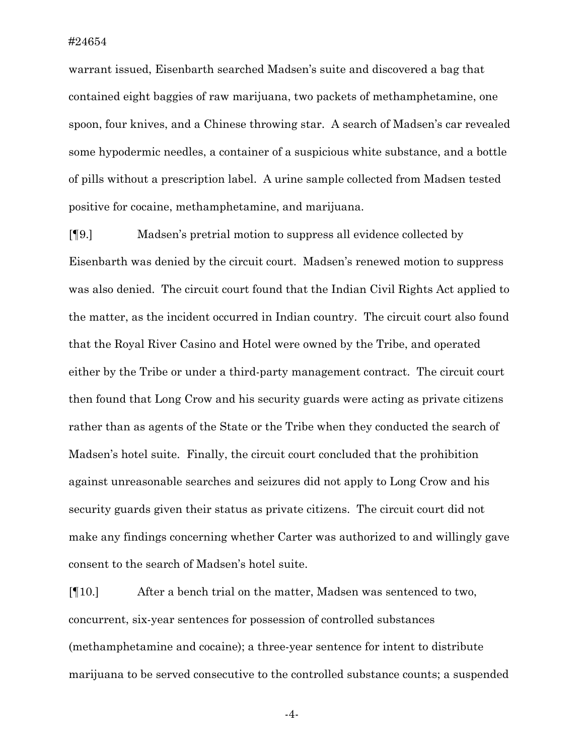warrant issued, Eisenbarth searched Madsen's suite and discovered a bag that contained eight baggies of raw marijuana, two packets of methamphetamine, one spoon, four knives, and a Chinese throwing star. A search of Madsen's car revealed some hypodermic needles, a container of a suspicious white substance, and a bottle of pills without a prescription label. A urine sample collected from Madsen tested positive for cocaine, methamphetamine, and marijuana.

[¶9.] Madsen's pretrial motion to suppress all evidence collected by Eisenbarth was denied by the circuit court. Madsen's renewed motion to suppress was also denied. The circuit court found that the Indian Civil Rights Act applied to the matter, as the incident occurred in Indian country. The circuit court also found that the Royal River Casino and Hotel were owned by the Tribe, and operated either by the Tribe or under a third-party management contract. The circuit court then found that Long Crow and his security guards were acting as private citizens rather than as agents of the State or the Tribe when they conducted the search of Madsen's hotel suite. Finally, the circuit court concluded that the prohibition against unreasonable searches and seizures did not apply to Long Crow and his security guards given their status as private citizens. The circuit court did not make any findings concerning whether Carter was authorized to and willingly gave consent to the search of Madsen's hotel suite.

[¶10.] After a bench trial on the matter, Madsen was sentenced to two, concurrent, six-year sentences for possession of controlled substances (methamphetamine and cocaine); a three-year sentence for intent to distribute marijuana to be served consecutive to the controlled substance counts; a suspended

-4-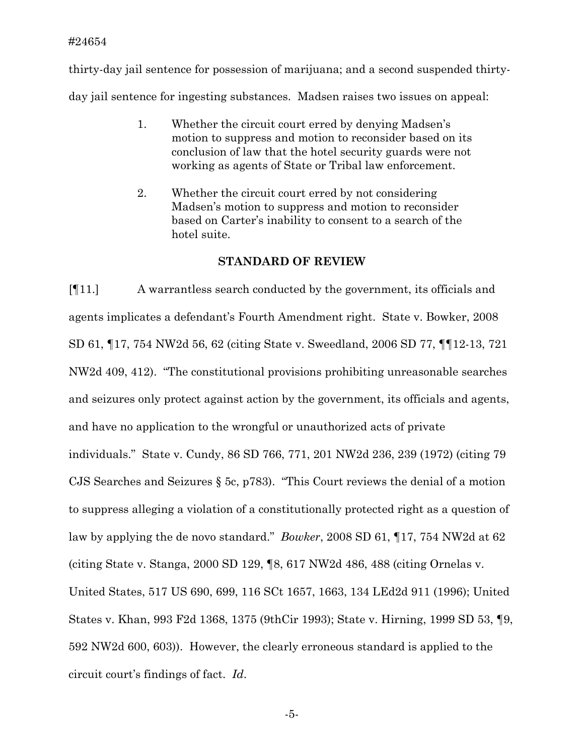### #24654

thirty-day jail sentence for possession of marijuana; and a second suspended thirtyday jail sentence for ingesting substances. Madsen raises two issues on appeal:

- 1. Whether the circuit court erred by denying Madsen's motion to suppress and motion to reconsider based on its conclusion of law that the hotel security guards were not working as agents of State or Tribal law enforcement.
- 2. Whether the circuit court erred by not considering Madsen's motion to suppress and motion to reconsider based on Carter's inability to consent to a search of the hotel suite.

## **STANDARD OF REVIEW**

[¶11.] A warrantless search conducted by the government, its officials and agents implicates a defendant's Fourth Amendment right. State v. Bowker, 2008 SD 61, ¶17, 754 NW2d 56, 62 (citing State v. Sweedland, 2006 SD 77, ¶¶12-13, 721 NW2d 409, 412). "The constitutional provisions prohibiting unreasonable searches and seizures only protect against action by the government, its officials and agents, and have no application to the wrongful or unauthorized acts of private individuals." State v. Cundy, 86 SD 766, 771, 201 NW2d 236, 239 (1972) (citing 79 CJS Searches and Seizures § 5c, p783). "This Court reviews the denial of a motion to suppress alleging a violation of a constitutionally protected right as a question of law by applying the de novo standard." *Bowker*, 2008 SD 61, ¶17, 754 NW2d at 62 (citing State v. Stanga, 2000 SD 129, ¶8, 617 NW2d 486, 488 (citing Ornelas v. United States, 517 US 690, 699, 116 SCt 1657, 1663, 134 LEd2d 911 (1996); United States v. Khan, 993 F2d 1368, 1375 (9thCir 1993); State v. Hirning, 1999 SD 53, ¶9, 592 NW2d 600, 603)). However, the clearly erroneous standard is applied to the circuit court's findings of fact. *Id*.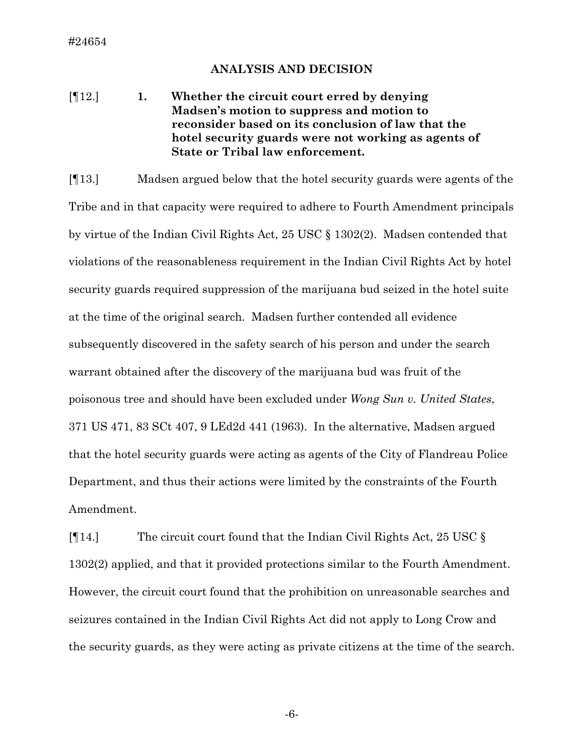#24654

## **ANALYSIS AND DECISION**

## [¶12.] **1. Whether the circuit court erred by denying Madsen's motion to suppress and motion to reconsider based on its conclusion of law that the hotel security guards were not working as agents of State or Tribal law enforcement.**

[¶13.] Madsen argued below that the hotel security guards were agents of the Tribe and in that capacity were required to adhere to Fourth Amendment principals by virtue of the Indian Civil Rights Act, 25 USC § 1302(2). Madsen contended that violations of the reasonableness requirement in the Indian Civil Rights Act by hotel security guards required suppression of the marijuana bud seized in the hotel suite at the time of the original search. Madsen further contended all evidence subsequently discovered in the safety search of his person and under the search warrant obtained after the discovery of the marijuana bud was fruit of the poisonous tree and should have been excluded under *Wong Sun v. United States*, 371 US 471, 83 SCt 407, 9 LEd2d 441 (1963). In the alternative, Madsen argued that the hotel security guards were acting as agents of the City of Flandreau Police Department, and thus their actions were limited by the constraints of the Fourth Amendment.

[ $[14.]$  The circuit court found that the Indian Civil Rights Act, 25 USC  $\S$ 1302(2) applied, and that it provided protections similar to the Fourth Amendment. However, the circuit court found that the prohibition on unreasonable searches and seizures contained in the Indian Civil Rights Act did not apply to Long Crow and the security guards, as they were acting as private citizens at the time of the search.

-6-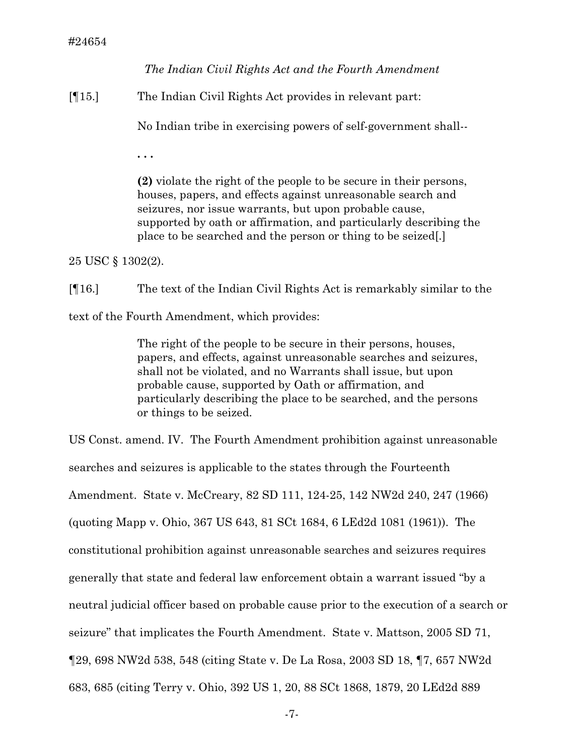## *The Indian Civil Rights Act and the Fourth Amendment*

[¶15.] The Indian Civil Rights Act provides in relevant part:

No Indian tribe in exercising powers of self-government shall--

**. . .** 

**(2)** violate the right of the people to be secure in their persons, houses, papers, and effects against unreasonable search and seizures, nor issue warrants, but upon probable cause, supported by oath or affirmation, and particularly describing the place to be searched and the person or thing to be seized[.]

25 USC § 1302(2).

[¶16.] The text of the Indian Civil Rights Act is remarkably similar to the

text of the Fourth Amendment, which provides:

The right of the people to be secure in their persons, houses, papers, and effects, against unreasonable searches and seizures, shall not be violated, and no Warrants shall issue, but upon probable cause, supported by Oath or affirmation, and particularly describing the place to be searched, and the persons or things to be seized.

US Const. amend. IV. The Fourth Amendment prohibition against unreasonable searches and seizures is applicable to the states through the Fourteenth Amendment. State v. McCreary, 82 SD 111, 124-25, 142 NW2d 240, 247 (1966) (quoting Mapp v. Ohio, 367 US 643, 81 SCt 1684, 6 LEd2d 1081 (1961)). The constitutional prohibition against unreasonable searches and seizures requires generally that state and federal law enforcement obtain a warrant issued "by a neutral judicial officer based on probable cause prior to the execution of a search or seizure" that implicates the Fourth Amendment. State v. Mattson, 2005 SD 71, ¶29, 698 NW2d 538, 548 (citing State v. De La Rosa, 2003 SD 18, ¶7, 657 NW2d 683, 685 (citing Terry v. Ohio, 392 US 1, 20, 88 SCt 1868, 1879, 20 LEd2d 889

-7-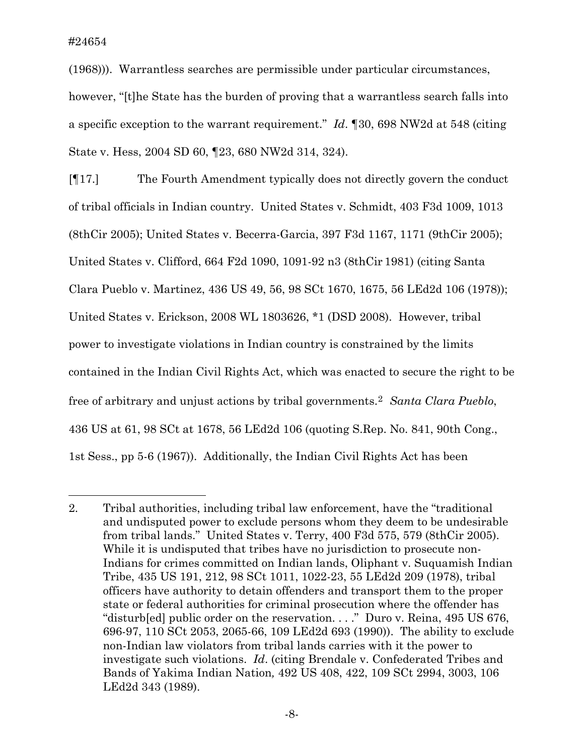$\overline{a}$ 

(1968))). Warrantless searches are permissible under particular circumstances, however, "[t]he State has the burden of proving that a warrantless search falls into a specific exception to the warrant requirement." *Id*. ¶30, 698 NW2d at 548 (citing State v. Hess, 2004 SD 60, ¶23, 680 NW2d 314, 324).

[¶17.] The Fourth Amendment typically does not directly govern the conduct of tribal officials in Indian country. United States v. Schmidt, 403 F3d 1009, 1013 (8thCir 2005); United States v. Becerra-Garcia, 397 F3d 1167, 1171 (9thCir 2005); United States v. Clifford, 664 F2d 1090, 1091-92 n3 (8thCir 1981) (citing Santa Clara Pueblo v. Martinez, 436 US 49, 56, 98 SCt 1670, 1675, 56 LEd2d 106 (1978)); United States v. Erickson, 2008 WL 1803626, \*1 (DSD 2008). However, tribal power to investigate violations in Indian country is constrained by the limits contained in the Indian Civil Rights Act, which was enacted to secure the right to be free of arbitrary and unjust actions by tribal governments[.2](#page-8-0) *Santa Clara Pueblo*, 436 US at 61, 98 SCt at 1678, 56 LEd2d 106 (quoting S.Rep. No. 841, 90th Cong., 1st Sess., pp 5-6 (1967)). Additionally, the Indian Civil Rights Act has been

<span id="page-8-0"></span><sup>2.</sup> Tribal authorities, including tribal law enforcement, have the "traditional and undisputed power to exclude persons whom they deem to be undesirable from tribal lands." United States v. Terry, 400 F3d 575, 579 (8thCir 2005). While it is undisputed that tribes have no jurisdiction to prosecute non-Indians for crimes committed on Indian lands, Oliphant v. Suquamish Indian Tribe, 435 US 191, 212, 98 SCt 1011, 1022-23, 55 LEd2d 209 (1978), tribal officers have authority to detain offenders and transport them to the proper state or federal authorities for criminal prosecution where the offender has "disturb[ed] public order on the reservation. . . ." Duro v. Reina, 495 US 676, 696-97, 110 SCt 2053, 2065-66, 109 LEd2d 693 (1990)). The ability to exclude non-Indian law violators from tribal lands carries with it the power to investigate such violations. *Id*. (citing Brendale v. Confederated Tribes and Bands of Yakima Indian Nation*,* 492 US 408, 422, 109 SCt 2994, 3003, 106 LEd2d 343 (1989).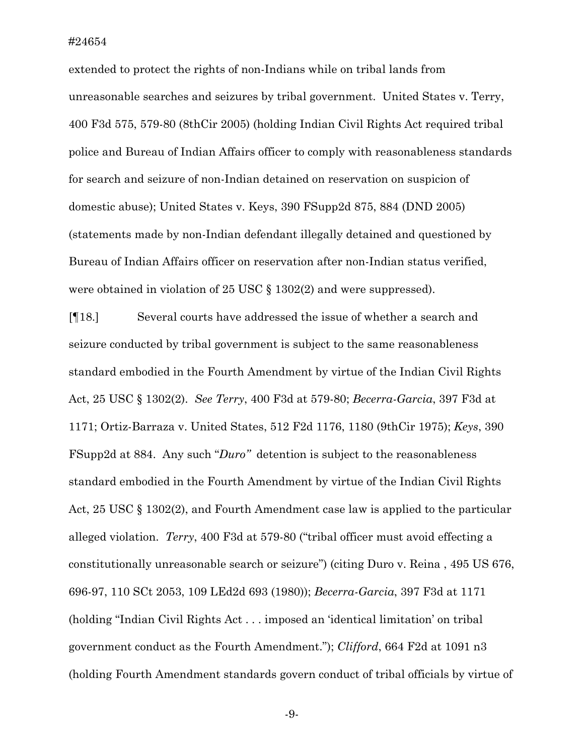extended to protect the rights of non-Indians while on tribal lands from unreasonable searches and seizures by tribal government. United States v. Terry, 400 F3d 575, 579-80 (8thCir 2005) (holding Indian Civil Rights Act required tribal police and Bureau of Indian Affairs officer to comply with reasonableness standards for search and seizure of non-Indian detained on reservation on suspicion of domestic abuse); United States v. Keys, 390 FSupp2d 875, 884 (DND 2005) (statements made by non-Indian defendant illegally detained and questioned by Bureau of Indian Affairs officer on reservation after non-Indian status verified, were obtained in violation of 25 USC § 1302(2) and were suppressed).

[¶18.] Several courts have addressed the issue of whether a search and seizure conducted by tribal government is subject to the same reasonableness standard embodied in the Fourth Amendment by virtue of the Indian Civil Rights Act, 25 USC § 1302(2). *See Terry*, 400 F3d at 579-80; *Becerra-Garcia*, 397 F3d at 1171; Ortiz-Barraza v. United States, 512 F2d 1176, 1180 (9thCir 1975); *Keys*, 390 FSupp2d at 884. Any such "*Duro"* detention is subject to the reasonableness standard embodied in the Fourth Amendment by virtue of the Indian Civil Rights Act, 25 USC § 1302(2), and Fourth Amendment case law is applied to the particular alleged violation. *Terry*, 400 F3d at 579-80 ("tribal officer must avoid effecting a constitutionally unreasonable search or seizure") (citing Duro v. Reina , 495 US 676, 696-97, 110 SCt 2053, 109 LEd2d 693 (1980)); *Becerra-Garcia*, 397 F3d at 1171 (holding "Indian Civil Rights Act . . . imposed an 'identical limitation' on tribal government conduct as the Fourth Amendment."); *Clifford*, 664 F2d at 1091 n3 (holding Fourth Amendment standards govern conduct of tribal officials by virtue of

-9-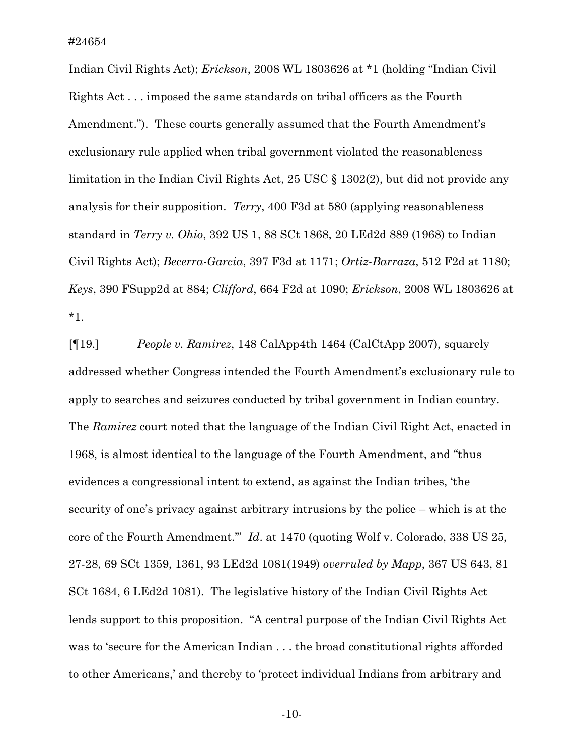Indian Civil Rights Act); *Erickson*, 2008 WL 1803626 at \*1 (holding "Indian Civil Rights Act . . . imposed the same standards on tribal officers as the Fourth Amendment."). These courts generally assumed that the Fourth Amendment's exclusionary rule applied when tribal government violated the reasonableness limitation in the Indian Civil Rights Act, 25 USC § 1302(2), but did not provide any analysis for their supposition. *Terry*, 400 F3d at 580 (applying reasonableness standard in *Terry v. Ohio*, 392 US 1, 88 SCt 1868, 20 LEd2d 889 (1968) to Indian Civil Rights Act); *Becerra-Garcia*, 397 F3d at 1171; *Ortiz-Barraza*, 512 F2d at 1180; *Keys*, 390 FSupp2d at 884; *Clifford*, 664 F2d at 1090; *Erickson*, 2008 WL 1803626 at \*1.

[¶19.] *People v. Ramirez*, 148 CalApp4th 1464 (CalCtApp 2007), squarely addressed whether Congress intended the Fourth Amendment's exclusionary rule to apply to searches and seizures conducted by tribal government in Indian country. The *Ramirez* court noted that the language of the Indian Civil Right Act, enacted in 1968, is almost identical to the language of the Fourth Amendment, and "thus evidences a congressional intent to extend, as against the Indian tribes, 'the security of one's privacy against arbitrary intrusions by the police – which is at the core of the Fourth Amendment.'" *Id*. at 1470 (quoting Wolf v. Colorado, 338 US 25, 27-28, 69 SCt 1359, 1361, 93 LEd2d 1081(1949) *overruled by Mapp*, 367 US 643, 81 SCt 1684, 6 LEd2d 1081). The legislative history of the Indian Civil Rights Act lends support to this proposition. "A central purpose of the Indian Civil Rights Act was to 'secure for the American Indian . . . the broad constitutional rights afforded to other Americans,' and thereby to 'protect individual Indians from arbitrary and

-10-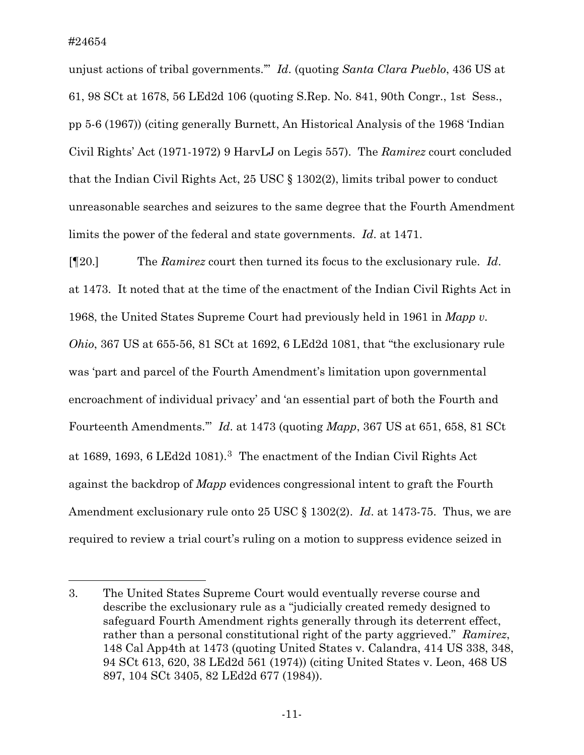l

unjust actions of tribal governments.'" *Id*. (quoting *Santa Clara Pueblo*, 436 US at 61, 98 SCt at 1678, 56 LEd2d 106 (quoting S.Rep. No. 841, 90th Congr., 1st Sess., pp 5-6 (1967)) (citing generally Burnett, An Historical Analysis of the 1968 'Indian Civil Rights' Act (1971-1972) 9 HarvLJ on Legis 557). The *Ramirez* court concluded that the Indian Civil Rights Act, 25 USC § 1302(2), limits tribal power to conduct unreasonable searches and seizures to the same degree that the Fourth Amendment limits the power of the federal and state governments. *Id*. at 1471.

[¶20.] The *Ramirez* court then turned its focus to the exclusionary rule. *Id*. at 1473. It noted that at the time of the enactment of the Indian Civil Rights Act in 1968, the United States Supreme Court had previously held in 1961 in *Mapp v. Ohio*, 367 US at 655-56, 81 SCt at 1692, 6 LEd2d 1081, that "the exclusionary rule was 'part and parcel of the Fourth Amendment's limitation upon governmental encroachment of individual privacy' and 'an essential part of both the Fourth and Fourteenth Amendments.'" *Id*. at 1473 (quoting *Mapp*, 367 US at 651, 658, 81 SCt at 1689, 1693, 6 LEd2d 1081).[3](#page-11-0) The enactment of the Indian Civil Rights Act against the backdrop of *Mapp* evidences congressional intent to graft the Fourth Amendment exclusionary rule onto 25 USC § 1302(2). *Id*. at 1473-75. Thus, we are required to review a trial court's ruling on a motion to suppress evidence seized in

<span id="page-11-0"></span><sup>3.</sup> The United States Supreme Court would eventually reverse course and describe the exclusionary rule as a "judicially created remedy designed to safeguard Fourth Amendment rights generally through its deterrent effect, rather than a personal constitutional right of the party aggrieved." *Ramirez*, 148 Cal App4th at 1473 (quoting United States v. Calandra, 414 US 338, 348, 94 SCt 613, 620, 38 LEd2d 561 (1974)) (citing United States v. Leon, 468 US 897, 104 SCt 3405, 82 LEd2d 677 (1984)).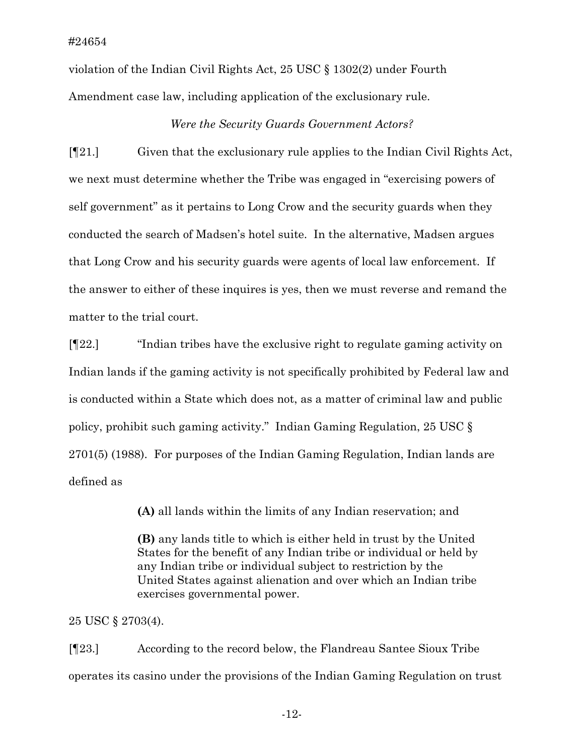violation of the Indian Civil Rights Act, 25 USC § 1302(2) under Fourth Amendment case law, including application of the exclusionary rule.

## *Were the Security Guards Government Actors?*

[¶21.] Given that the exclusionary rule applies to the Indian Civil Rights Act, we next must determine whether the Tribe was engaged in "exercising powers of self government" as it pertains to Long Crow and the security guards when they conducted the search of Madsen's hotel suite. In the alternative, Madsen argues that Long Crow and his security guards were agents of local law enforcement. If the answer to either of these inquires is yes, then we must reverse and remand the matter to the trial court.

[¶22.] "Indian tribes have the exclusive right to regulate gaming activity on Indian lands if the gaming activity is not specifically prohibited by Federal law and is conducted within a State which does not, as a matter of criminal law and public policy, prohibit such gaming activity." Indian Gaming Regulation, 25 USC § 2701(5) (1988). For purposes of the Indian Gaming Regulation, Indian lands are defined as

**(A)** all lands within the limits of any Indian reservation; and

**(B)** any lands title to which is either held in trust by the United States for the benefit of any Indian tribe or individual or held by any Indian tribe or individual subject to restriction by the United States against alienation and over which an Indian tribe exercises governmental power.

25 USC § 2703(4).

[¶23.] According to the record below, the Flandreau Santee Sioux Tribe operates its casino under the provisions of the Indian Gaming Regulation on trust

-12-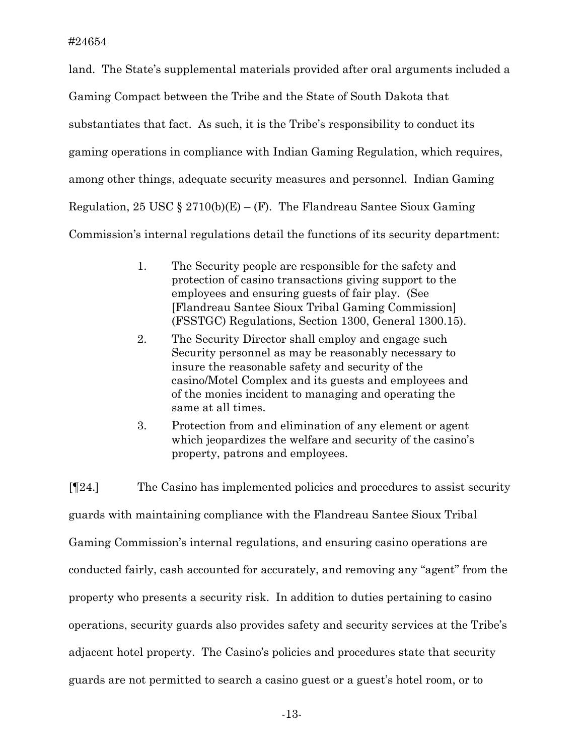land. The State's supplemental materials provided after oral arguments included a Gaming Compact between the Tribe and the State of South Dakota that substantiates that fact. As such, it is the Tribe's responsibility to conduct its gaming operations in compliance with Indian Gaming Regulation, which requires, among other things, adequate security measures and personnel. Indian Gaming Regulation, 25 USC  $\S 2710(b)(E) - (F)$ . The Flandreau Santee Sioux Gaming Commission's internal regulations detail the functions of its security department:

- 1. The Security people are responsible for the safety and protection of casino transactions giving support to the employees and ensuring guests of fair play. (See [Flandreau Santee Sioux Tribal Gaming Commission] (FSSTGC) Regulations, Section 1300, General 1300.15).
- 2. The Security Director shall employ and engage such Security personnel as may be reasonably necessary to insure the reasonable safety and security of the casino/Motel Complex and its guests and employees and of the monies incident to managing and operating the same at all times.
- 3. Protection from and elimination of any element or agent which jeopardizes the welfare and security of the casino's property, patrons and employees.

[¶24.] The Casino has implemented policies and procedures to assist security guards with maintaining compliance with the Flandreau Santee Sioux Tribal Gaming Commission's internal regulations, and ensuring casino operations are conducted fairly, cash accounted for accurately, and removing any "agent" from the property who presents a security risk. In addition to duties pertaining to casino operations, security guards also provides safety and security services at the Tribe's adjacent hotel property. The Casino's policies and procedures state that security guards are not permitted to search a casino guest or a guest's hotel room, or to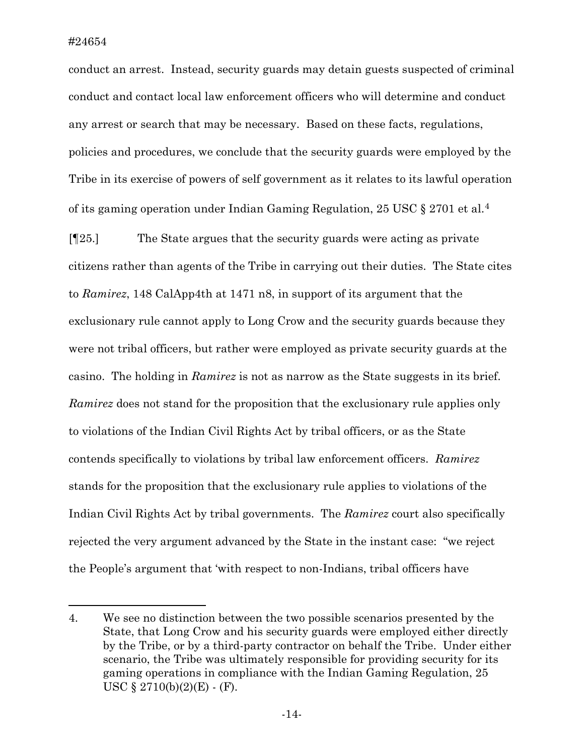$\overline{a}$ 

conduct an arrest. Instead, security guards may detain guests suspected of criminal conduct and contact local law enforcement officers who will determine and conduct any arrest or search that may be necessary. Based on these facts, regulations, policies and procedures, we conclude that the security guards were employed by the Tribe in its exercise of powers of self government as it relates to its lawful operation of its gaming operation under Indian Gaming Regulation, 25 USC § 2701 et al[.4](#page-14-0)

[¶25.] The State argues that the security guards were acting as private citizens rather than agents of the Tribe in carrying out their duties. The State cites to *Ramirez*, 148 CalApp4th at 1471 n8, in support of its argument that the exclusionary rule cannot apply to Long Crow and the security guards because they were not tribal officers, but rather were employed as private security guards at the casino. The holding in *Ramirez* is not as narrow as the State suggests in its brief. *Ramirez* does not stand for the proposition that the exclusionary rule applies only to violations of the Indian Civil Rights Act by tribal officers, or as the State contends specifically to violations by tribal law enforcement officers. *Ramirez* stands for the proposition that the exclusionary rule applies to violations of the Indian Civil Rights Act by tribal governments. The *Ramirez* court also specifically rejected the very argument advanced by the State in the instant case: "we reject the People's argument that 'with respect to non-Indians, tribal officers have

<span id="page-14-0"></span><sup>4.</sup> We see no distinction between the two possible scenarios presented by the State, that Long Crow and his security guards were employed either directly by the Tribe, or by a third-party contractor on behalf the Tribe. Under either scenario, the Tribe was ultimately responsible for providing security for its gaming operations in compliance with the Indian Gaming Regulation, 25 USC  $\S 2710(b)(2)(E) - (F)$ .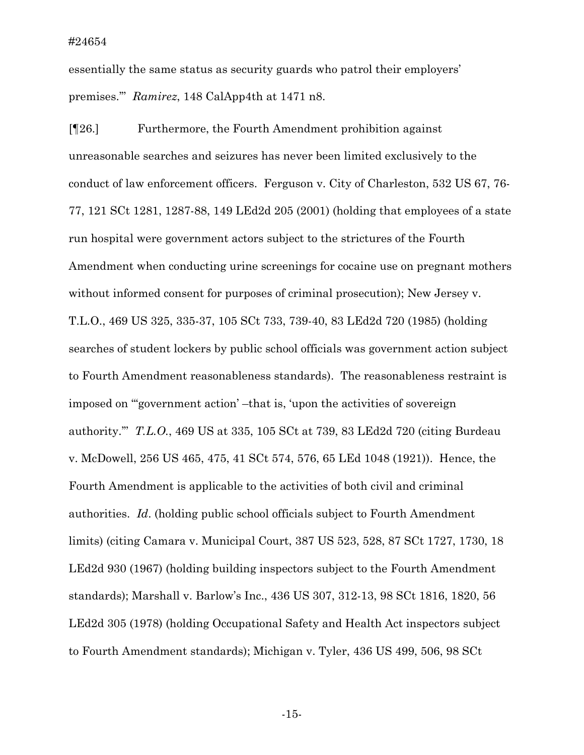essentially the same status as security guards who patrol their employers' premises.'" *Ramirez*, 148 CalApp4th at 1471 n8.

[¶26.] Furthermore, the Fourth Amendment prohibition against unreasonable searches and seizures has never been limited exclusively to the conduct of law enforcement officers. Ferguson v. City of Charleston, 532 US 67, 76- 77, 121 SCt 1281, 1287-88, 149 LEd2d 205 (2001) (holding that employees of a state run hospital were government actors subject to the strictures of the Fourth Amendment when conducting urine screenings for cocaine use on pregnant mothers without informed consent for purposes of criminal prosecution); New Jersey v. T.L.O., 469 US 325, 335-37, 105 SCt 733, 739-40, 83 LEd2d 720 (1985) (holding searches of student lockers by public school officials was government action subject to Fourth Amendment reasonableness standards). The reasonableness restraint is imposed on "'government action' –that is, 'upon the activities of sovereign authority.'" *T.L.O.*, 469 US at 335, 105 SCt at 739, 83 LEd2d 720 (citing Burdeau v. McDowell, 256 US 465, 475, 41 SCt 574, 576, 65 LEd 1048 (1921)). Hence, the Fourth Amendment is applicable to the activities of both civil and criminal authorities. *Id*. (holding public school officials subject to Fourth Amendment limits) (citing Camara v. Municipal Court, 387 US 523, 528, 87 SCt 1727, 1730, 18 LEd2d 930 (1967) (holding building inspectors subject to the Fourth Amendment standards); Marshall v. Barlow's Inc., 436 US 307, 312-13, 98 SCt 1816, 1820, 56 LEd2d 305 (1978) (holding Occupational Safety and Health Act inspectors subject to Fourth Amendment standards); Michigan v. Tyler, 436 US 499, 506, 98 SCt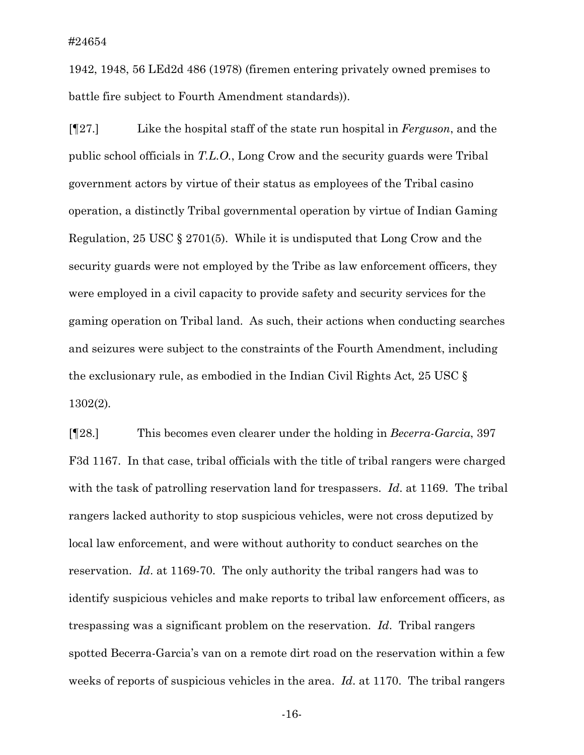1942, 1948, 56 LEd2d 486 (1978) (firemen entering privately owned premises to battle fire subject to Fourth Amendment standards)).

[¶27.] Like the hospital staff of the state run hospital in *Ferguson*, and the public school officials in *T.L.O.*, Long Crow and the security guards were Tribal government actors by virtue of their status as employees of the Tribal casino operation, a distinctly Tribal governmental operation by virtue of Indian Gaming Regulation, 25 USC § 2701(5). While it is undisputed that Long Crow and the security guards were not employed by the Tribe as law enforcement officers, they were employed in a civil capacity to provide safety and security services for the gaming operation on Tribal land. As such, their actions when conducting searches and seizures were subject to the constraints of the Fourth Amendment, including the exclusionary rule, as embodied in the Indian Civil Rights Act*,* 25 USC § 1302(2)*.* 

[¶28.] This becomes even clearer under the holding in *Becerra-Garcia*, 397 F3d 1167. In that case, tribal officials with the title of tribal rangers were charged with the task of patrolling reservation land for trespassers. *Id*. at 1169. The tribal rangers lacked authority to stop suspicious vehicles, were not cross deputized by local law enforcement, and were without authority to conduct searches on the reservation. *Id*. at 1169-70. The only authority the tribal rangers had was to identify suspicious vehicles and make reports to tribal law enforcement officers, as trespassing was a significant problem on the reservation. *Id*. Tribal rangers spotted Becerra-Garcia's van on a remote dirt road on the reservation within a few weeks of reports of suspicious vehicles in the area. *Id*. at 1170. The tribal rangers

-16-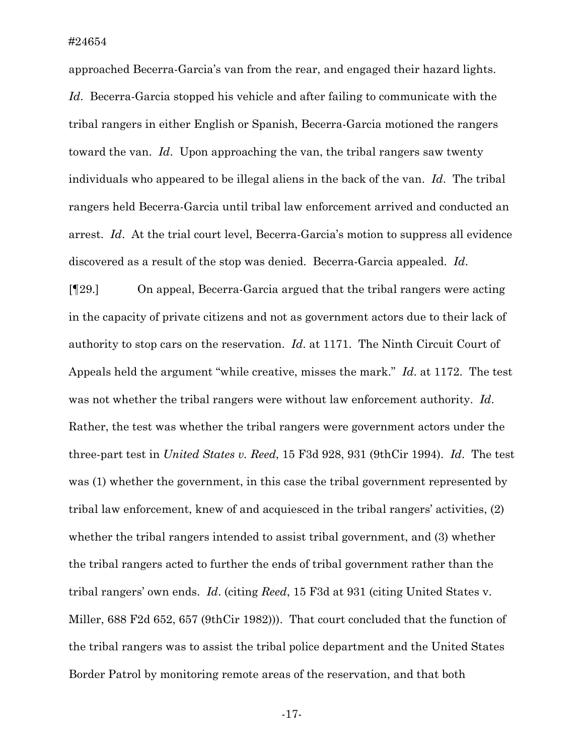approached Becerra-Garcia's van from the rear, and engaged their hazard lights. *Id*. Becerra-Garcia stopped his vehicle and after failing to communicate with the tribal rangers in either English or Spanish, Becerra-Garcia motioned the rangers toward the van. *Id*. Upon approaching the van, the tribal rangers saw twenty individuals who appeared to be illegal aliens in the back of the van. *Id*. The tribal rangers held Becerra-Garcia until tribal law enforcement arrived and conducted an arrest. *Id*. At the trial court level, Becerra-Garcia's motion to suppress all evidence discovered as a result of the stop was denied. Becerra-Garcia appealed. *Id*.

[¶29.] On appeal, Becerra-Garcia argued that the tribal rangers were acting in the capacity of private citizens and not as government actors due to their lack of authority to stop cars on the reservation. *Id*. at 1171. The Ninth Circuit Court of Appeals held the argument "while creative, misses the mark." *Id*. at 1172. The test was not whether the tribal rangers were without law enforcement authority. *Id*. Rather, the test was whether the tribal rangers were government actors under the three-part test in *United States v. Reed*, 15 F3d 928, 931 (9thCir 1994). *Id*. The test was (1) whether the government, in this case the tribal government represented by tribal law enforcement, knew of and acquiesced in the tribal rangers' activities, (2) whether the tribal rangers intended to assist tribal government, and (3) whether the tribal rangers acted to further the ends of tribal government rather than the tribal rangers' own ends. *Id*. (citing *Reed*, 15 F3d at 931 (citing United States v. Miller, 688 F2d 652, 657 (9thCir 1982))). That court concluded that the function of the tribal rangers was to assist the tribal police department and the United States Border Patrol by monitoring remote areas of the reservation, and that both

-17-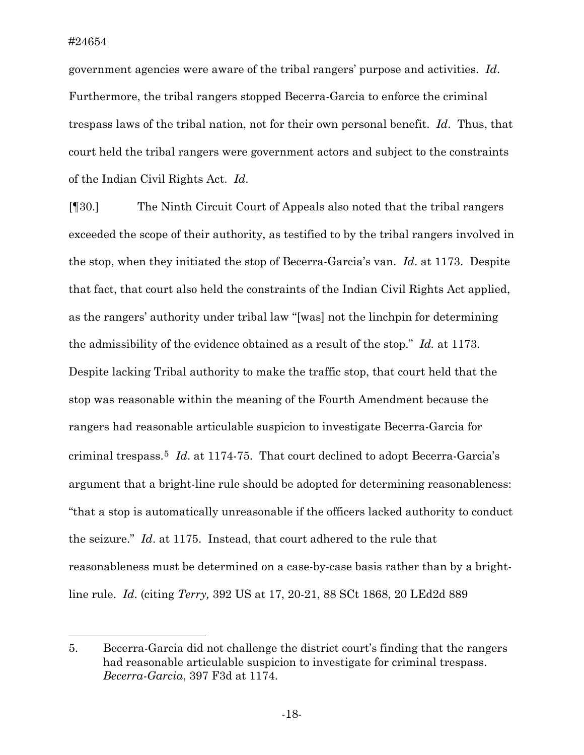#24654

l

government agencies were aware of the tribal rangers' purpose and activities. *Id*. Furthermore, the tribal rangers stopped Becerra-Garcia to enforce the criminal trespass laws of the tribal nation, not for their own personal benefit. *Id*. Thus, that court held the tribal rangers were government actors and subject to the constraints of the Indian Civil Rights Act. *Id*.

[¶30.] The Ninth Circuit Court of Appeals also noted that the tribal rangers exceeded the scope of their authority, as testified to by the tribal rangers involved in the stop, when they initiated the stop of Becerra-Garcia's van. *Id*. at 1173. Despite that fact, that court also held the constraints of the Indian Civil Rights Act applied, as the rangers' authority under tribal law "[was] not the linchpin for determining the admissibility of the evidence obtained as a result of the stop." *Id.* at 1173. Despite lacking Tribal authority to make the traffic stop, that court held that the stop was reasonable within the meaning of the Fourth Amendment because the rangers had reasonable articulable suspicion to investigate Becerra-Garcia for criminal trespass.[5](#page-18-0) *Id*. at 1174-75. That court declined to adopt Becerra-Garcia's argument that a bright-line rule should be adopted for determining reasonableness: "that a stop is automatically unreasonable if the officers lacked authority to conduct the seizure." *Id*. at 1175. Instead, that court adhered to the rule that reasonableness must be determined on a case-by-case basis rather than by a brightline rule. *Id*. (citing *Terry,* 392 US at 17, 20-21, 88 SCt 1868, 20 LEd2d 889

<span id="page-18-0"></span><sup>5.</sup> Becerra-Garcia did not challenge the district court's finding that the rangers had reasonable articulable suspicion to investigate for criminal trespass. *Becerra-Garcia*, 397 F3d at 1174.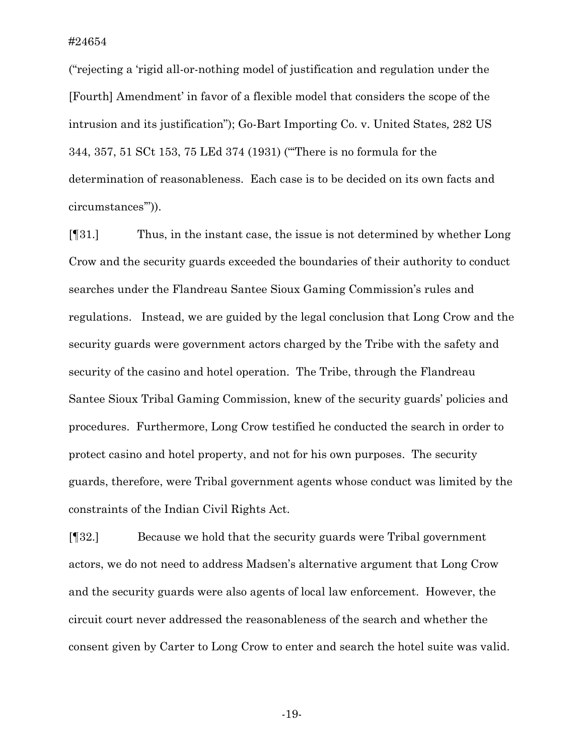("rejecting a 'rigid all-or-nothing model of justification and regulation under the [Fourth] Amendment' in favor of a flexible model that considers the scope of the intrusion and its justification"); Go-Bart Importing Co. v. United States*,* 282 US 344, 357, 51 SCt 153, 75 LEd 374 (1931) ("'There is no formula for the determination of reasonableness. Each case is to be decided on its own facts and circumstances'")).

[¶31.] Thus, in the instant case, the issue is not determined by whether Long Crow and the security guards exceeded the boundaries of their authority to conduct searches under the Flandreau Santee Sioux Gaming Commission's rules and regulations. Instead, we are guided by the legal conclusion that Long Crow and the security guards were government actors charged by the Tribe with the safety and security of the casino and hotel operation. The Tribe, through the Flandreau Santee Sioux Tribal Gaming Commission, knew of the security guards' policies and procedures. Furthermore, Long Crow testified he conducted the search in order to protect casino and hotel property, and not for his own purposes. The security guards, therefore, were Tribal government agents whose conduct was limited by the constraints of the Indian Civil Rights Act.

[¶32.] Because we hold that the security guards were Tribal government actors, we do not need to address Madsen's alternative argument that Long Crow and the security guards were also agents of local law enforcement. However, the circuit court never addressed the reasonableness of the search and whether the consent given by Carter to Long Crow to enter and search the hotel suite was valid.

-19-